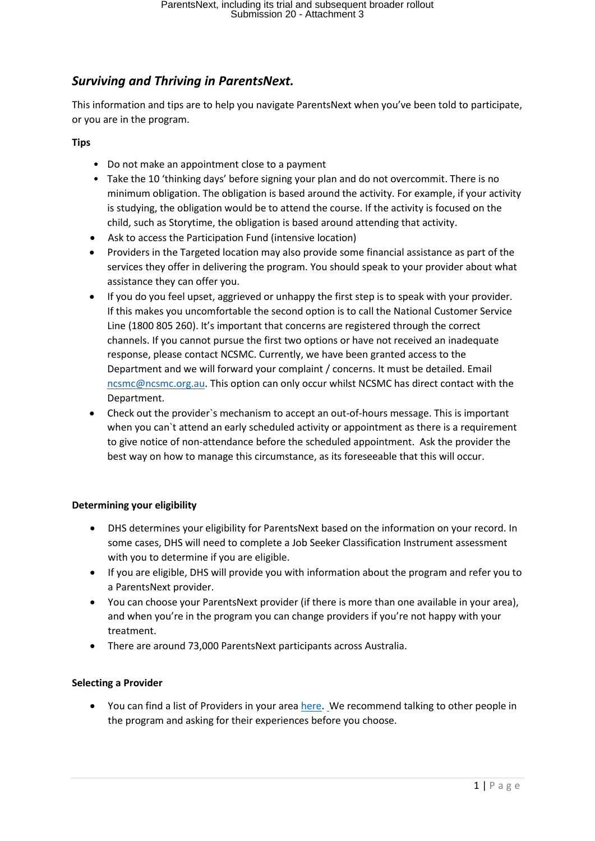# *Surviving and Thriving in ParentsNext.*

This information and tips are to help you navigate ParentsNext when you've been told to participate, or you are in the program.

# **Tips**

- Do not make an appointment close to a payment
- Take the 10 'thinking days' before signing your plan and do not overcommit. There is no minimum obligation. The obligation is based around the activity. For example, if your activity is studying, the obligation would be to attend the course. If the activity is focused on the child, such as Storytime, the obligation is based around attending that activity.
- Ask to access the Participation Fund (intensive location)
- Providers in the Targeted location may also provide some financial assistance as part of the services they offer in delivering the program. You should speak to your provider about what assistance they can offer you.
- If you do you feel upset, aggrieved or unhappy the first step is to speak with your provider. If this makes you uncomfortable the second option is to call the National Customer Service Line (1800 805 260). It's important that concerns are registered through the correct channels. If you cannot pursue the first two options or have not received an inadequate response, please contact NCSMC. Currently, we have been granted access to the Department and we will forward your complaint / concerns. It must be detailed. Email [ncsmc@ncsmc.org.au.](mailto:ncsmc@ncsmc.org.au) This option can only occur whilst NCSMC has direct contact with the Department.
- Check out the provider`s mechanism to accept an out-of-hours message. This is important when you can`t attend an early scheduled activity or appointment as there is a requirement to give notice of non-attendance before the scheduled appointment. Ask the provider the best way on how to manage this circumstance, as its foreseeable that this will occur.

# **Determining your eligibility**

- DHS determines your eligibility for ParentsNext based on the information on your record. In some cases, DHS will need to complete a Job Seeker Classification Instrument assessment with you to determine if you are eligible.
- If you are eligible, DHS will provide you with information about the program and refer you to a ParentsNext provider.
- You can choose your ParentsNext provider (if there is more than one available in your area), and when you're in the program you can change providers if you're not happy with your treatment.
- There are around 73,000 ParentsNext participants across Australia.

# **Selecting a Provider**

You can find a list of Providers in your area [here.](https://jobsearch.gov.au/serviceproviders.) We recommend talking to other people in the program and asking for their experiences before you choose.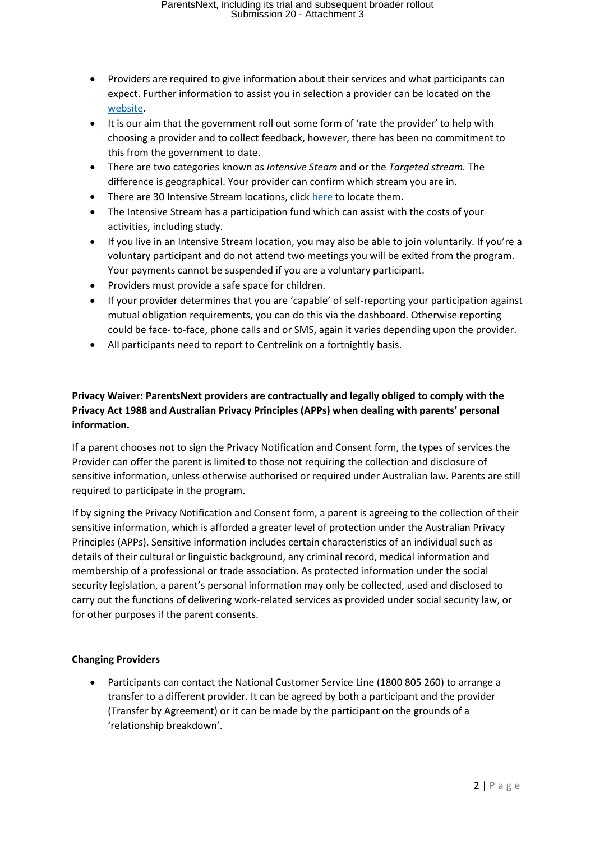- Providers are required to give information about their services and what participants can expect. Further information to assist you in selection a provider can be located on the [website.](https://jobsearch.gov.au/serviceproviders?jsk=1)
- It is our aim that the government roll out some form of 'rate the provider' to help with choosing a provider and to collect feedback, however, there has been no commitment to this from the government to date.
- There are two categories known as *Intensive Steam* and or the *Targeted stream.* The difference is geographical. Your provider can confirm which stream you are in.
- There are 30 Intensive Stream locations, click [here](https://www.jobs.gov.au/parentsnext) to locate them.
- The Intensive Stream has a participation fund which can assist with the costs of your activities, including study.
- If you live in an Intensive Stream location, you may also be able to join voluntarily. If you're a voluntary participant and do not attend two meetings you will be exited from the program. Your payments cannot be suspended if you are a voluntary participant.
- Providers must provide a safe space for children.
- If your provider determines that you are 'capable' of self-reporting your participation against mutual obligation requirements, you can do this via the dashboard. Otherwise reporting could be face- to-face, phone calls and or SMS, again it varies depending upon the provider.
- All participants need to report to Centrelink on a fortnightly basis.

# **Privacy Waiver: ParentsNext providers are contractually and legally obliged to comply with the Privacy Act 1988 and Australian Privacy Principles (APPs) when dealing with parents' personal information.**

If a parent chooses not to sign the Privacy Notification and Consent form, the types of services the Provider can offer the parent is limited to those not requiring the collection and disclosure of sensitive information, unless otherwise authorised or required under Australian law. Parents are still required to participate in the program.

If by signing the Privacy Notification and Consent form, a parent is agreeing to the collection of their sensitive information, which is afforded a greater level of protection under the Australian Privacy Principles (APPs). Sensitive information includes certain characteristics of an individual such as details of their cultural or linguistic background, any criminal record, medical information and membership of a professional or trade association. As protected information under the social security legislation, a parent's personal information may only be collected, used and disclosed to carry out the functions of delivering work-related services as provided under social security law, or for other purposes if the parent consents.

# **Changing Providers**

• Participants can contact the National Customer Service Line (1800 805 260) to arrange a transfer to a different provider. It can be agreed by both a participant and the provider (Transfer by Agreement) or it can be made by the participant on the grounds of a 'relationship breakdown'.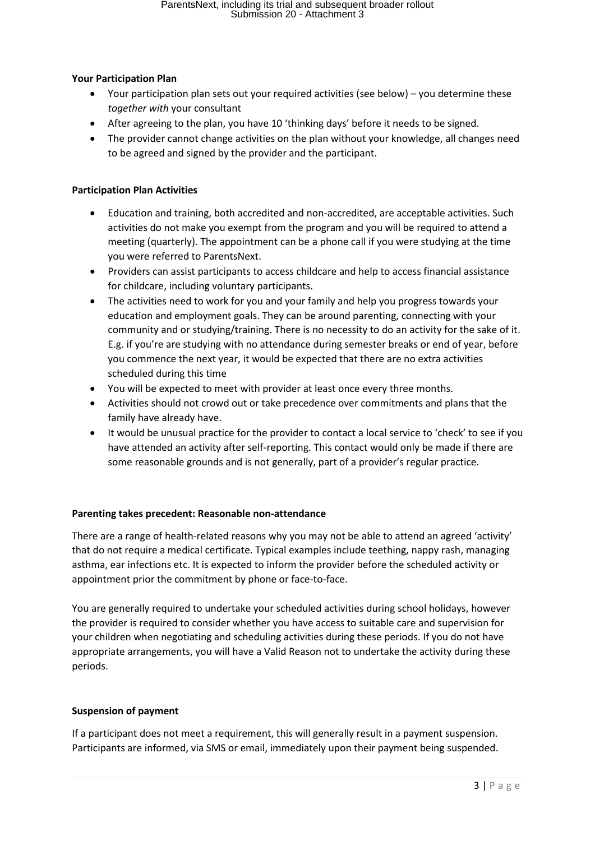# **Your Participation Plan**

- Your participation plan sets out your required activities (see below) you determine these *together with* your consultant
- After agreeing to the plan, you have 10 'thinking days' before it needs to be signed.
- The provider cannot change activities on the plan without your knowledge, all changes need to be agreed and signed by the provider and the participant.

#### **Participation Plan Activities**

- Education and training, both accredited and non-accredited, are acceptable activities. Such activities do not make you exempt from the program and you will be required to attend a meeting (quarterly). The appointment can be a phone call if you were studying at the time you were referred to ParentsNext.
- Providers can assist participants to access childcare and help to access financial assistance for childcare, including voluntary participants.
- The activities need to work for you and your family and help you progress towards your education and employment goals. They can be around parenting, connecting with your community and or studying/training. There is no necessity to do an activity for the sake of it. E.g. if you're are studying with no attendance during semester breaks or end of year, before you commence the next year, it would be expected that there are no extra activities scheduled during this time
- You will be expected to meet with provider at least once every three months.
- Activities should not crowd out or take precedence over commitments and plans that the family have already have.
- It would be unusual practice for the provider to contact a local service to 'check' to see if you have attended an activity after self-reporting. This contact would only be made if there are some reasonable grounds and is not generally, part of a provider's regular practice.

# **Parenting takes precedent: Reasonable non-attendance**

There are a range of health-related reasons why you may not be able to attend an agreed 'activity' that do not require a medical certificate. Typical examples include teething, nappy rash, managing asthma, ear infections etc. It is expected to inform the provider before the scheduled activity or appointment prior the commitment by phone or face-to-face.

You are generally required to undertake your scheduled activities during school holidays, however the provider is required to consider whether you have access to suitable care and supervision for your children when negotiating and scheduling activities during these periods. If you do not have appropriate arrangements, you will have a Valid Reason not to undertake the activity during these periods.

# **Suspension of payment**

If a participant does not meet a requirement, this will generally result in a payment suspension. Participants are informed, via SMS or email, immediately upon their payment being suspended.